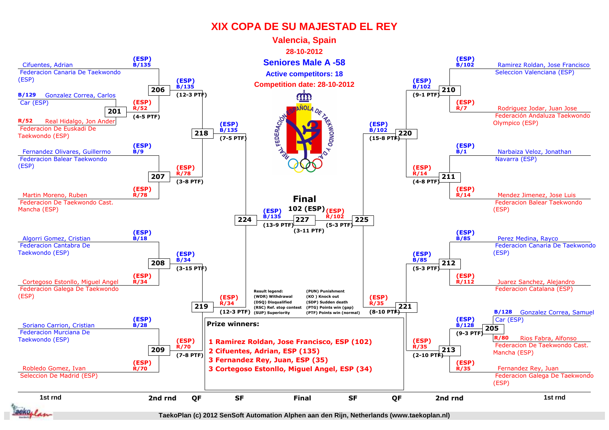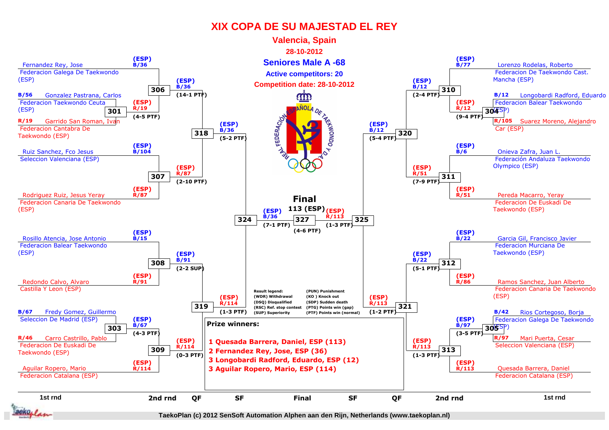

**TaekoPlan (c) 2012 SenSoft Automation Alphen aan den Rijn, Netherlands (www.taekoplan.nl)**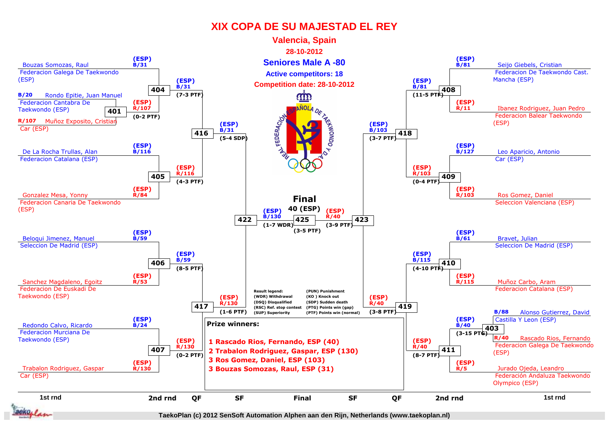

**TaekoPlan (c) 2012 SenSoft Automation Alphen aan den Rijn, Netherlands (www.taekoplan.nl)**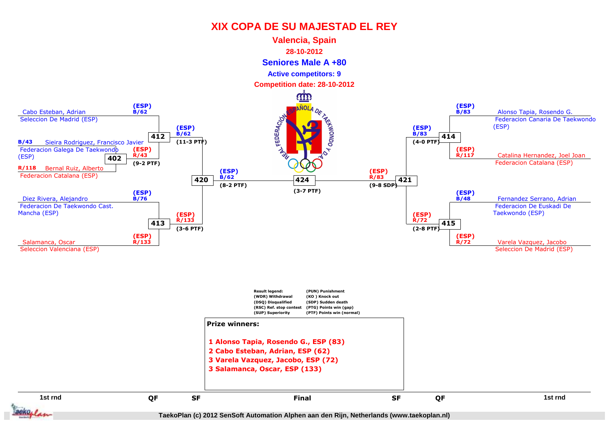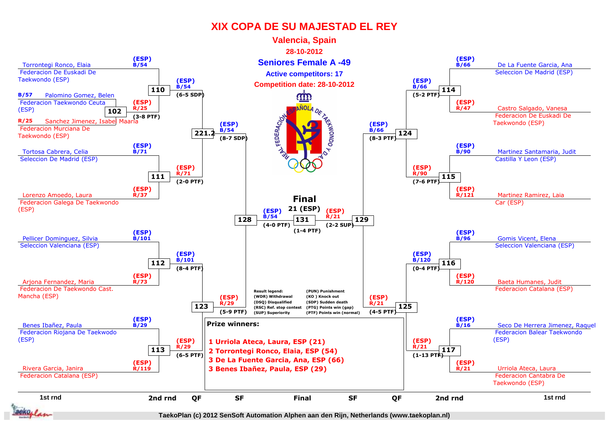

**TaekoPlan (c) 2012 SenSoft Automation Alphen aan den Rijn, Netherlands (www.taekoplan.nl)**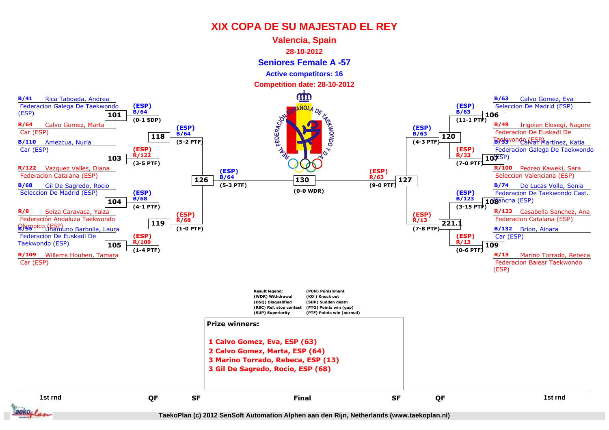

**TaekoPlan (c) 2012 SenSoft Automation Alphen aan den Rijn, Netherlands (www.taekoplan.nl)**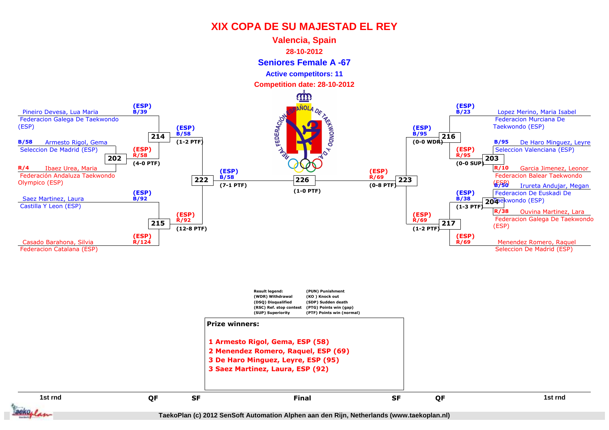